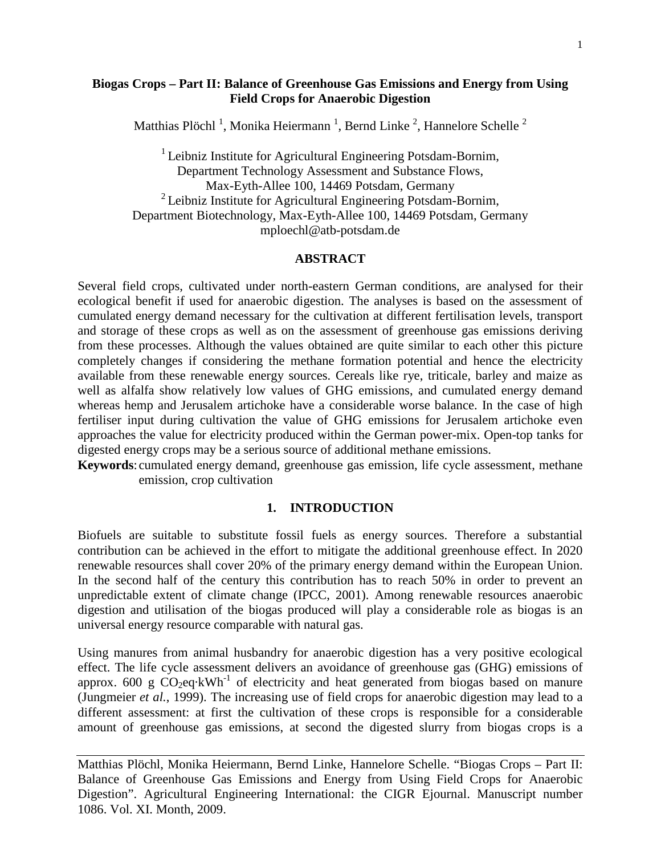### **Biogas Crops – Part II: Balance of Greenhouse Gas Emissions and Energy from Using Field Crops for Anaerobic Digestion**

Matthias Plöchl<sup>1</sup>, Monika Heiermann<sup>1</sup>, Bernd Linke<sup>2</sup>, Hannelore Schelle<sup>2</sup>

<sup>1</sup> Leibniz Institute for Agricultural Engineering Potsdam-Bornim, Department Technology Assessment and Substance Flows, Max-Eyth-Allee 100, 14469 Potsdam, Germany 2 Leibniz Institute for Agricultural Engineering Potsdam-Bornim, Department Biotechnology, Max-Eyth-Allee 100, 14469 Potsdam, Germany mploechl@atb-potsdam.de

#### **ABSTRACT**

Several field crops, cultivated under north-eastern German conditions, are analysed for their ecological benefit if used for anaerobic digestion. The analyses is based on the assessment of cumulated energy demand necessary for the cultivation at different fertilisation levels, transport and storage of these crops as well as on the assessment of greenhouse gas emissions deriving from these processes. Although the values obtained are quite similar to each other this picture completely changes if considering the methane formation potential and hence the electricity available from these renewable energy sources. Cereals like rye, triticale, barley and maize as well as alfalfa show relatively low values of GHG emissions, and cumulated energy demand whereas hemp and Jerusalem artichoke have a considerable worse balance. In the case of high fertiliser input during cultivation the value of GHG emissions for Jerusalem artichoke even approaches the value for electricity produced within the German power-mix. Open-top tanks for digested energy crops may be a serious source of additional methane emissions.

**Keywords**: cumulated energy demand, greenhouse gas emission, life cycle assessment, methane emission, crop cultivation

#### **1. INTRODUCTION**

Biofuels are suitable to substitute fossil fuels as energy sources. Therefore a substantial contribution can be achieved in the effort to mitigate the additional greenhouse effect. In 2020 renewable resources shall cover 20% of the primary energy demand within the European Union. In the second half of the century this contribution has to reach 50% in order to prevent an unpredictable extent of climate change (IPCC, 2001). Among renewable resources anaerobic digestion and utilisation of the biogas produced will play a considerable role as biogas is an universal energy resource comparable with natural gas.

Using manures from animal husbandry for anaerobic digestion has a very positive ecological effect. The life cycle assessment delivers an avoidance of greenhouse gas (GHG) emissions of approx. 600 g  $CO<sub>2</sub>eq·kWh<sup>-1</sup>$  of electricity and heat generated from biogas based on manure (Jungmeier *et al.*, 1999). The increasing use of field crops for anaerobic digestion may lead to a different assessment: at first the cultivation of these crops is responsible for a considerable amount of greenhouse gas emissions, at second the digested slurry from biogas crops is a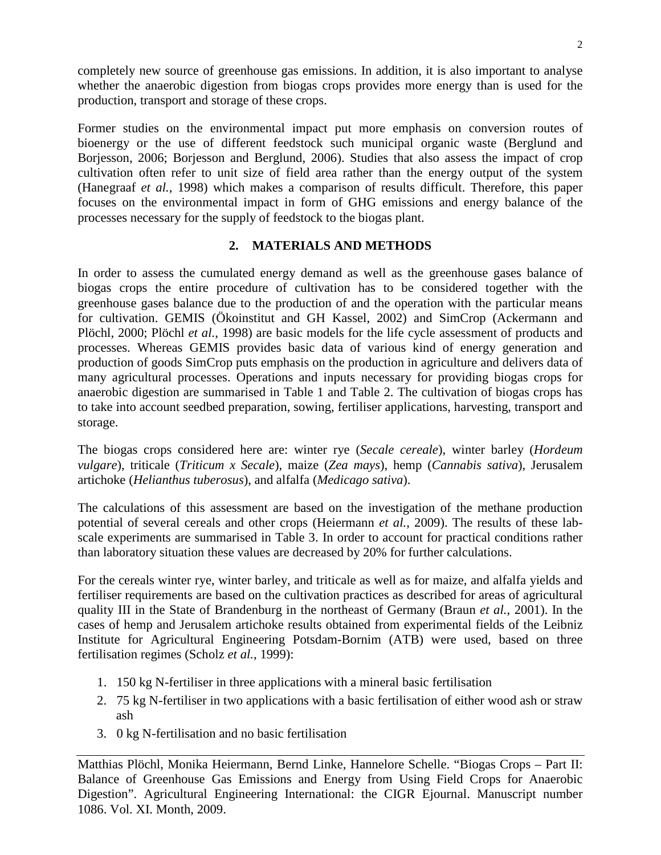completely new source of greenhouse gas emissions. In addition, it is also important to analyse whether the anaerobic digestion from biogas crops provides more energy than is used for the production, transport and storage of these crops.

Former studies on the environmental impact put more emphasis on conversion routes of bioenergy or the use of different feedstock such municipal organic waste (Berglund and Borjesson, 2006; Borjesson and Berglund, 2006). Studies that also assess the impact of crop cultivation often refer to unit size of field area rather than the energy output of the system (Hanegraaf *et al.*, 1998) which makes a comparison of results difficult. Therefore, this paper focuses on the environmental impact in form of GHG emissions and energy balance of the processes necessary for the supply of feedstock to the biogas plant.

# **2. MATERIALS AND METHODS**

In order to assess the cumulated energy demand as well as the greenhouse gases balance of biogas crops the entire procedure of cultivation has to be considered together with the greenhouse gases balance due to the production of and the operation with the particular means for cultivation. GEMIS (Ökoinstitut and GH Kassel, 2002) and SimCrop (Ackermann and Plöchl, 2000; Plöchl *et al.*, 1998) are basic models for the life cycle assessment of products and processes. Whereas GEMIS provides basic data of various kind of energy generation and production of goods SimCrop puts emphasis on the production in agriculture and delivers data of many agricultural processes. Operations and inputs necessary for providing biogas crops for anaerobic digestion are summarised in Table 1 and Table 2. The cultivation of biogas crops has to take into account seedbed preparation, sowing, fertiliser applications, harvesting, transport and storage.

The biogas crops considered here are: winter rye (*Secale cereale*), winter barley (*Hordeum vulgare*), triticale (*Triticum x Secale*), maize (*Zea mays*), hemp (*Cannabis sativa*), Jerusalem artichoke (*Helianthus tuberosus*), and alfalfa (*Medicago sativa*).

The calculations of this assessment are based on the investigation of the methane production potential of several cereals and other crops (Heiermann *et al.*, 2009). The results of these labscale experiments are summarised in Table 3. In order to account for practical conditions rather than laboratory situation these values are decreased by 20% for further calculations.

For the cereals winter rye, winter barley, and triticale as well as for maize, and alfalfa yields and fertiliser requirements are based on the cultivation practices as described for areas of agricultural quality III in the State of Brandenburg in the northeast of Germany (Braun *et al.*, 2001). In the cases of hemp and Jerusalem artichoke results obtained from experimental fields of the Leibniz Institute for Agricultural Engineering Potsdam-Bornim (ATB) were used, based on three fertilisation regimes (Scholz *et al.*, 1999):

- 1. 150 kg N-fertiliser in three applications with a mineral basic fertilisation
- 2. 75 kg N-fertiliser in two applications with a basic fertilisation of either wood ash or straw ash
- 3. 0 kg N-fertilisation and no basic fertilisation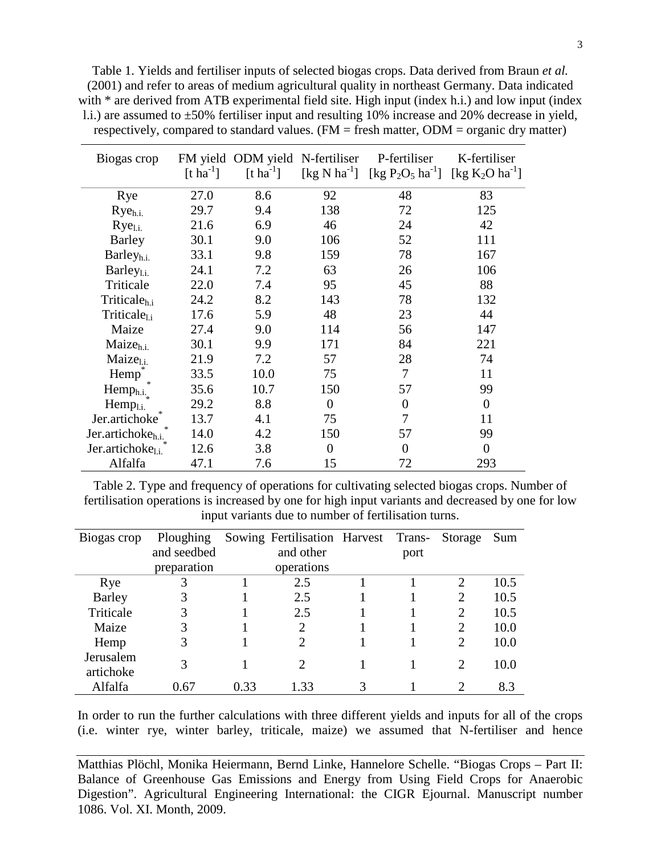Table 1. Yields and fertiliser inputs of selected biogas crops. Data derived from Braun *et al.* (2001) and refer to areas of medium agricultural quality in northeast Germany. Data indicated with \* are derived from ATB experimental field site. High input (index h.i.) and low input (index l.i.) are assumed to ±50% fertiliser input and resulting 10% increase and 20% decrease in yield, respectively, compared to standard values. (FM = fresh matter, ODM = organic dry matter)

| Biogas crop                   | $\lceil \text{t} \ln^{1} \rceil$ |      | FM yield ODM yield N-fertiliser | P-fertiliser<br>[t ha <sup>-1</sup> ] [kg N ha <sup>-1</sup> ] [kg P <sub>2</sub> O <sub>5</sub> ha <sup>-1</sup> ] [kg K <sub>2</sub> O ha <sup>-1</sup> ] | K-fertiliser   |
|-------------------------------|----------------------------------|------|---------------------------------|-------------------------------------------------------------------------------------------------------------------------------------------------------------|----------------|
| Rye                           | 27.0                             | 8.6  | 92                              | 48                                                                                                                                                          | 83             |
| $Rye_{h.i.}$                  | 29.7                             | 9.4  | 138                             | 72                                                                                                                                                          | 125            |
| $Rye_{1,i.}$                  | 21.6                             | 6.9  | 46                              | 24                                                                                                                                                          | 42             |
| <b>Barley</b>                 | 30.1                             | 9.0  | 106                             | 52                                                                                                                                                          | 111            |
| Barley <sub>h.i.</sub>        | 33.1                             | 9.8  | 159                             | 78                                                                                                                                                          | 167            |
| $Barley_{1.i.}$               | 24.1                             | 7.2  | 63                              | 26                                                                                                                                                          | 106            |
| Triticale                     | 22.0                             | 7.4  | 95                              | 45                                                                                                                                                          | 88             |
| Triticale <sub>h.i</sub>      | 24.2                             | 8.2  | 143                             | 78                                                                                                                                                          | 132            |
| Triticale <sub>l.i</sub>      | 17.6                             | 5.9  | 48                              | 23                                                                                                                                                          | 44             |
| Maize                         | 27.4                             | 9.0  | 114                             | 56                                                                                                                                                          | 147            |
| Maize <sub>h.i.</sub>         | 30.1                             | 9.9  | 171                             | 84                                                                                                                                                          | 221            |
| M <sub>u</sub>                | 21.9                             | 7.2  | 57                              | 28                                                                                                                                                          | 74             |
| Hemp                          | 33.5                             | 10.0 | 75                              | 7                                                                                                                                                           | 11             |
| Hemp <sub>h.i.</sub>          | 35.6                             | 10.7 | 150                             | 57                                                                                                                                                          | 99             |
| Hemp <sub>l.i.</sub>          | 29.2                             | 8.8  | $\theta$                        | $\overline{0}$                                                                                                                                              | $\overline{0}$ |
| Jer.artichoke                 | 13.7                             | 4.1  | 75                              | 7                                                                                                                                                           | 11             |
| Jer.artichoke <sub>h.i.</sub> | 14.0                             | 4.2  | 150                             | 57                                                                                                                                                          | 99             |
| Jer.artichoke <sub>l.i.</sub> | 12.6                             | 3.8  | $\overline{0}$                  | $\overline{0}$                                                                                                                                              | $\overline{0}$ |
| Alfalfa                       | 47.1                             | 7.6  | 15                              | 72                                                                                                                                                          | 293            |

Table 2. Type and frequency of operations for cultivating selected biogas crops. Number of fertilisation operations is increased by one for high input variants and decreased by one for low input variants due to number of fertilisation turns.

| Biogas crop            | Ploughing   |      | Sowing Fertilisation Harvest Trans- |      | Storage                     | Sum  |
|------------------------|-------------|------|-------------------------------------|------|-----------------------------|------|
|                        | and seedbed |      | and other                           | port |                             |      |
|                        | preparation |      | operations                          |      |                             |      |
| Rye                    |             |      | 2.5                                 |      | $\overline{2}$              | 10.5 |
| <b>Barley</b>          |             |      | 2.5                                 |      | $\overline{2}$              | 10.5 |
| Triticale              | 3           |      | 2.5                                 |      | $\overline{2}$              | 10.5 |
| Maize                  | 3           |      | 2                                   |      | $\overline{2}$              | 10.0 |
| Hemp                   | 3           |      | $\mathcal{D}_{\mathcal{A}}$         |      | $\overline{2}$              | 10.0 |
| Jerusalem<br>artichoke | 3           |      | $\mathcal{D}_{\mathcal{A}}$         |      | $\mathcal{D}_{\cdot}$       | 10.0 |
| Alfalfa                | 0.67        | 0.33 | 1.33                                |      | $\mathcal{D}_{\mathcal{L}}$ | 8.3  |

In order to run the further calculations with three different yields and inputs for all of the crops (i.e. winter rye, winter barley, triticale, maize) we assumed that N-fertiliser and hence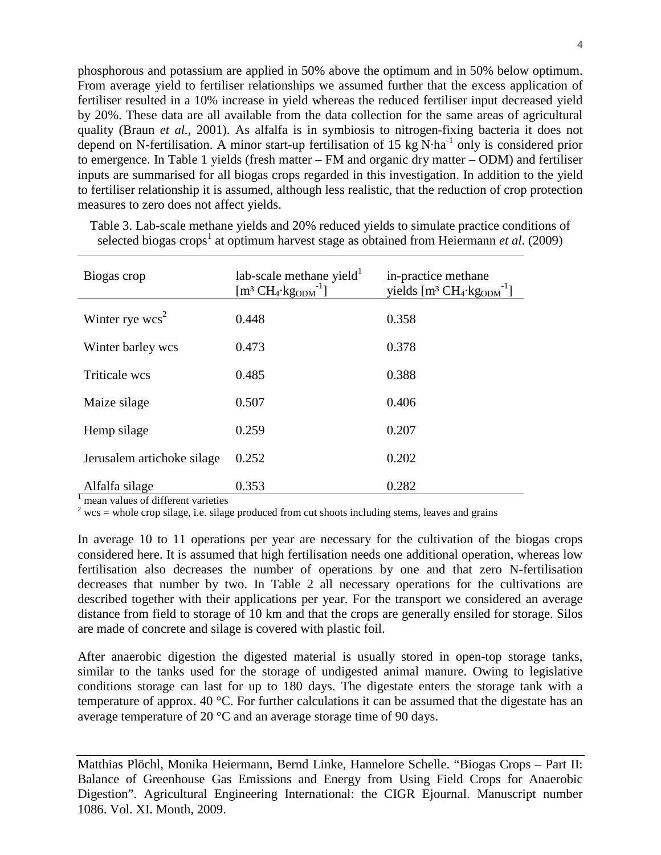phosphorous and potassium are applied in 50% above the optimum and in 50% below optimum. From average yield to fertiliser relationships we assumed further that the excess application of fertiliser resulted in a 10% increase in yield whereas the reduced fertiliser input decreased yield by 20%. These data are all available from the data collection for the same areas of agricultural quality (Braun *et al.*, 2001). As alfalfa is in symbiosis to nitrogen-fixing bacteria it does not depend on N-fertilisation. A minor start-up fertilisation of 15 kg N·ha<sup>-1</sup> only is considered prior to emergence. In Table 1 yields (fresh matter – FM and organic dry matter – ODM) and fertiliser inputs are summarised for all biogas crops regarded in this investigation. In addition to the yield to fertiliser relationship it is assumed, although less realistic, that the reduction of crop protection measures to zero does not affect yields.

| Biogas crop                | lab-scale methane yield $^1$<br>$\left[\text{m}^3 \text{CH}_4 \cdot \text{kg}_\text{ODM}^{-1}\right]$ | in-practice methane<br>yields $[m^3 CH_4 \cdot kg_{ODM}^{-1}]$ |
|----------------------------|-------------------------------------------------------------------------------------------------------|----------------------------------------------------------------|
| Winter rye $wcs^2$         | 0.448                                                                                                 | 0.358                                                          |
| Winter barley wcs          | 0.473                                                                                                 | 0.378                                                          |
| <b>Triticale wcs</b>       | 0.485                                                                                                 | 0.388                                                          |
| Maize silage               | 0.507                                                                                                 | 0.406                                                          |
| Hemp silage                | 0.259                                                                                                 | 0.207                                                          |
| Jerusalem artichoke silage | 0.252                                                                                                 | 0.202                                                          |
| Alfalfa silage             | 0.353                                                                                                 | 0.282                                                          |

Table 3. Lab-scale methane yields and 20% reduced yields to simulate practice conditions of selected biogas crops<sup>1</sup> at optimum harvest stage as obtained from Heiermann *et al.* (2009)

 $\frac{1}{2}$  mean values of different varieties  $\frac{2}{3}$  wcs = whole crop silage, i.e. silage produced from cut shoots including stems, leaves and grains

In average 10 to 11 operations per year are necessary for the cultivation of the biogas crops considered here. It is assumed that high fertilisation needs one additional operation, whereas low fertilisation also decreases the number of operations by one and that zero N-fertilisation decreases that number by two. In Table 2 all necessary operations for the cultivations are described together with their applications per year. For the transport we considered an average distance from field to storage of 10 km and that the crops are generally ensiled for storage. Silos are made of concrete and silage is covered with plastic foil.

After anaerobic digestion the digested material is usually stored in open-top storage tanks, similar to the tanks used for the storage of undigested animal manure. Owing to legislative conditions storage can last for up to 180 days. The digestate enters the storage tank with a temperature of approx. 40 °C. For further calculations it can be assumed that the digestate has an average temperature of 20 °C and an average storage time of 90 days.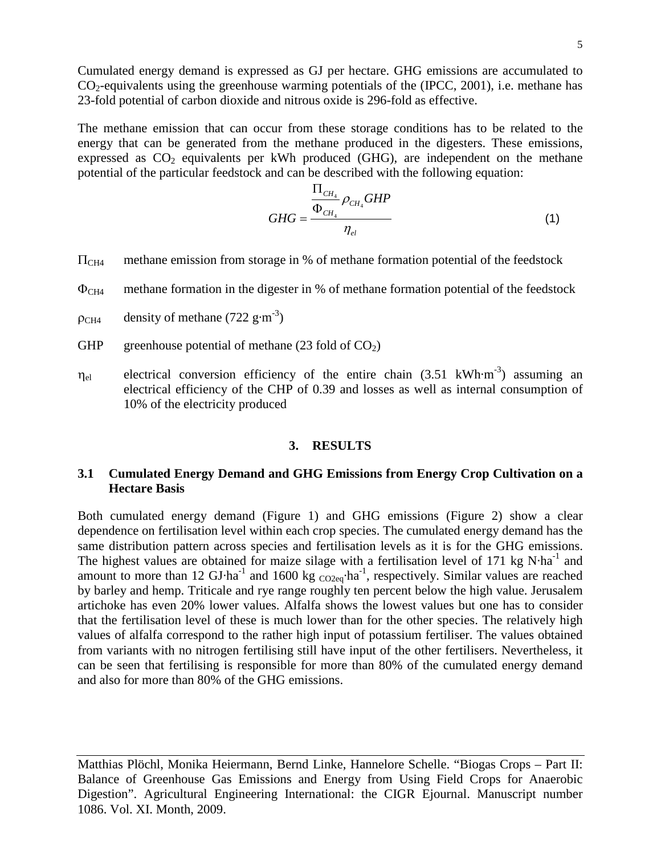Cumulated energy demand is expressed as GJ per hectare. GHG emissions are accumulated to  $CO<sub>2</sub>$ -equivalents using the greenhouse warming potentials of the (IPCC, 2001), i.e. methane has 23-fold potential of carbon dioxide and nitrous oxide is 296-fold as effective.

The methane emission that can occur from these storage conditions has to be related to the energy that can be generated from the methane produced in the digesters. These emissions, expressed as  $CO<sub>2</sub>$  equivalents per kWh produced (GHG), are independent on the methane potential of the particular feedstock and can be described with the following equation:

$$
GHG = \frac{\frac{\prod_{CH_4}}{\Phi_{CH_4}} \rho_{CH_4} GHP}{\eta_{el}}
$$
\n(1)

- $\Pi_{CH4}$  methane emission from storage in % of methane formation potential of the feedstock
- $\Phi$ <sub>CH4</sub> methane formation in the digester in % of methane formation potential of the feedstock
- $\rho_{CH4}$  density of methane (722 g·m<sup>-3</sup>)
- GHP greenhouse potential of methane  $(23 \text{ fold of } CO_2)$
- $\eta_{el}$  electrical conversion efficiency of the entire chain (3.51 kWh·m<sup>-3</sup>) assuming an electrical efficiency of the CHP of 0.39 and losses as well as internal consumption of 10% of the electricity produced

#### **3. RESULTS**

### **3.1 Cumulated Energy Demand and GHG Emissions from Energy Crop Cultivation on a Hectare Basis**

Both cumulated energy demand (Figure 1) and GHG emissions (Figure 2) show a clear dependence on fertilisation level within each crop species. The cumulated energy demand has the same distribution pattern across species and fertilisation levels as it is for the GHG emissions. The highest values are obtained for maize silage with a fertilisation level of 171 kg  $N·ha<sup>-1</sup>$  and amount to more than 12 GJ·ha<sup>-1</sup> and 1600 kg  $_{\text{CO2eq}}$ ·ha<sup>-1</sup>, respectively. Similar values are reached by barley and hemp. Triticale and rye range roughly ten percent below the high value. Jerusalem artichoke has even 20% lower values. Alfalfa shows the lowest values but one has to consider that the fertilisation level of these is much lower than for the other species. The relatively high values of alfalfa correspond to the rather high input of potassium fertiliser. The values obtained from variants with no nitrogen fertilising still have input of the other fertilisers. Nevertheless, it can be seen that fertilising is responsible for more than 80% of the cumulated energy demand and also for more than 80% of the GHG emissions.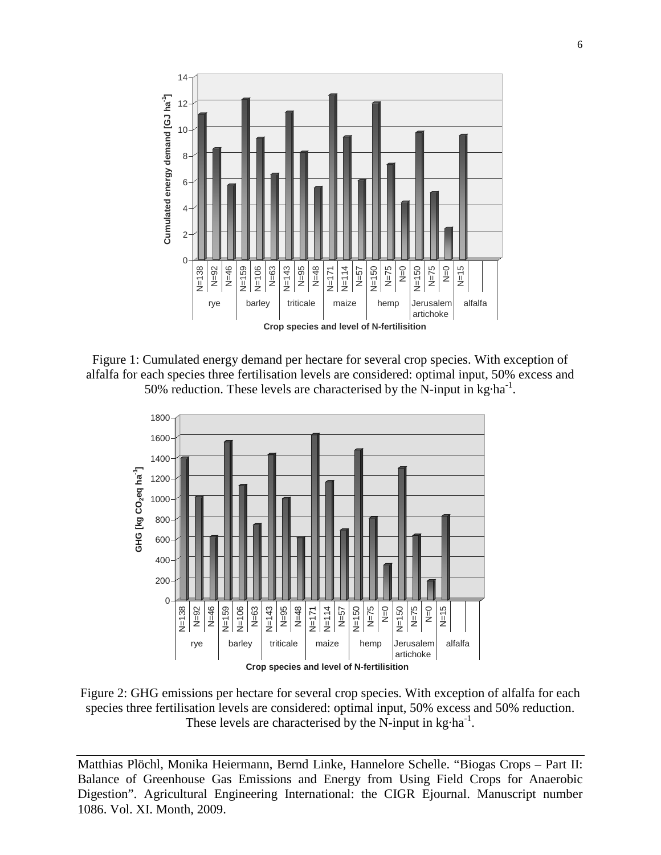

Figure 1: Cumulated energy demand per hectare for several crop species. With exception of alfalfa for each species three fertilisation levels are considered: optimal input, 50% excess and 50% reduction. These levels are characterised by the N-input in  $kg \cdot ha^{-1}$ .



Figure 2: GHG emissions per hectare for several crop species. With exception of alfalfa for each species three fertilisation levels are considered: optimal input, 50% excess and 50% reduction. These levels are characterised by the N-input in  $kg \cdot ha^{-1}$ .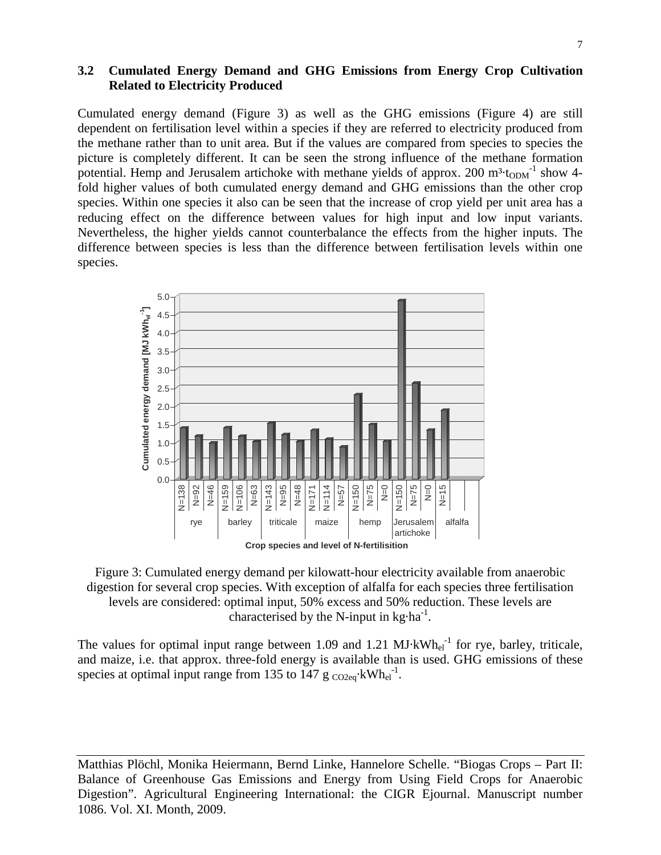# **3.2 Cumulated Energy Demand and GHG Emissions from Energy Crop Cultivation Related to Electricity Produced**

Cumulated energy demand (Figure 3) as well as the GHG emissions (Figure 4) are still dependent on fertilisation level within a species if they are referred to electricity produced from the methane rather than to unit area. But if the values are compared from species to species the picture is completely different. It can be seen the strong influence of the methane formation potential. Hemp and Jerusalem artichoke with methane yields of approx. 200  $m<sup>3</sup>$ ·t<sub>ODM</sub><sup>-1</sup> show 4fold higher values of both cumulated energy demand and GHG emissions than the other crop species. Within one species it also can be seen that the increase of crop yield per unit area has a reducing effect on the difference between values for high input and low input variants. Nevertheless, the higher yields cannot counterbalance the effects from the higher inputs. The difference between species is less than the difference between fertilisation levels within one species.



Figure 3: Cumulated energy demand per kilowatt-hour electricity available from anaerobic digestion for several crop species. With exception of alfalfa for each species three fertilisation levels are considered: optimal input, 50% excess and 50% reduction. These levels are characterised by the N-input in  $kg \cdot ha^{-1}$ .

The values for optimal input range between 1.09 and 1.21  $MJ·kWh_{el}^{-1}$  for rye, barley, triticale, and maize, i.e. that approx. three-fold energy is available than is used. GHG emissions of these species at optimal input range from 135 to 147  $g \text{ }_{\text{CO2eq}}$  kWh<sub>el</sub><sup>-1</sup>.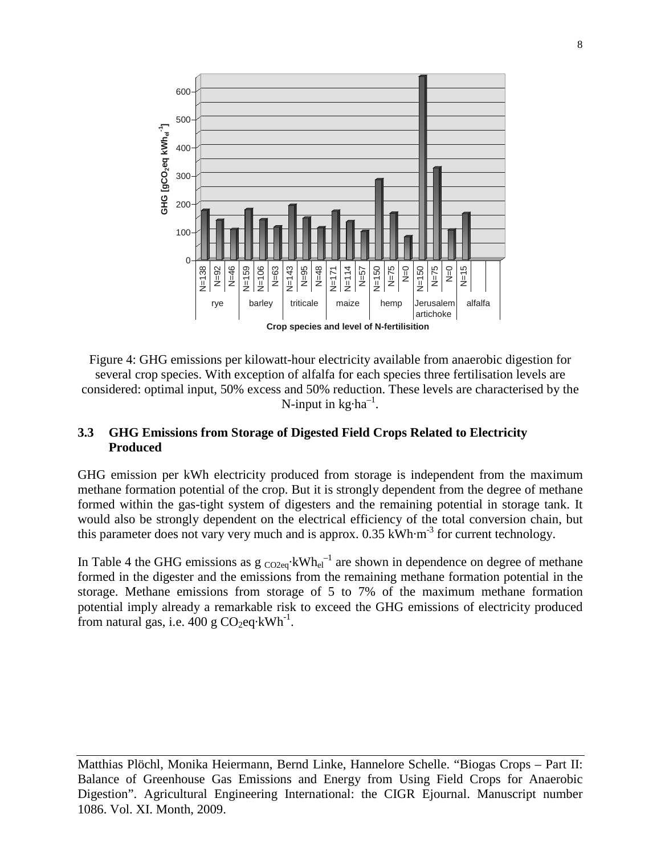

Figure 4: GHG emissions per kilowatt-hour electricity available from anaerobic digestion for several crop species. With exception of alfalfa for each species three fertilisation levels are considered: optimal input, 50% excess and 50% reduction. These levels are characterised by the N-input in  $kg \cdot ha^{-1}$ .

# **3.3 GHG Emissions from Storage of Digested Field Crops Related to Electricity Produced**

GHG emission per kWh electricity produced from storage is independent from the maximum methane formation potential of the crop. But it is strongly dependent from the degree of methane formed within the gas-tight system of digesters and the remaining potential in storage tank. It would also be strongly dependent on the electrical efficiency of the total conversion chain, but this parameter does not vary very much and is approx.  $0.35 \text{ kWh} \cdot \text{m}^{-3}$  for current technology.

In Table 4 the GHG emissions as  $g_{\text{CO2eq}}$ ·kWh<sub>el</sub><sup>-1</sup> are shown in dependence on degree of methane formed in the digester and the emissions from the remaining methane formation potential in the storage. Methane emissions from storage of 5 to 7% of the maximum methane formation potential imply already a remarkable risk to exceed the GHG emissions of electricity produced from natural gas, i.e.  $400 \text{ g } CO_2$ eq·kWh<sup>-1</sup>.

Matthias Plöchl, Monika Heiermann, Bernd Linke, Hannelore Schelle. "Biogas Crops – Part II: Balance of Greenhouse Gas Emissions and Energy from Using Field Crops for Anaerobic Digestion". Agricultural Engineering International: the CIGR Ejournal. Manuscript number 1086. Vol. XI. Month, 2009.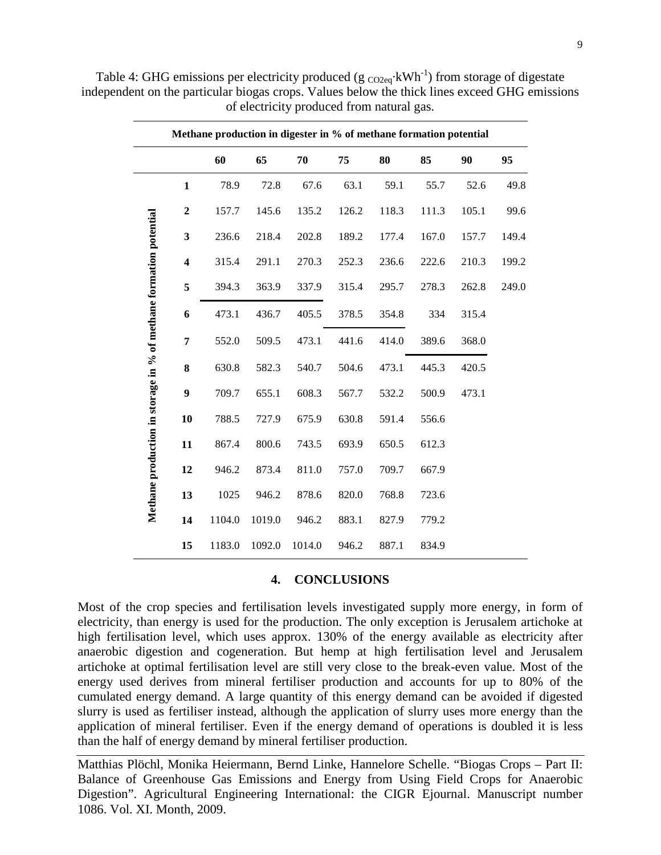|                                                                   | Methane production in digester in % of methane formation potential |        |        |        |       |       |       |       |       |
|-------------------------------------------------------------------|--------------------------------------------------------------------|--------|--------|--------|-------|-------|-------|-------|-------|
|                                                                   |                                                                    | 60     | 65     | 70     | 75    | 80    | 85    | 90    | 95    |
|                                                                   | $\mathbf{1}$                                                       | 78.9   | 72.8   | 67.6   | 63.1  | 59.1  | 55.7  | 52.6  | 49.8  |
|                                                                   | $\overline{2}$                                                     | 157.7  | 145.6  | 135.2  | 126.2 | 118.3 | 111.3 | 105.1 | 99.6  |
|                                                                   | 3                                                                  | 236.6  | 218.4  | 202.8  | 189.2 | 177.4 | 167.0 | 157.7 | 149.4 |
|                                                                   | $\overline{\mathbf{4}}$                                            | 315.4  | 291.1  | 270.3  | 252.3 | 236.6 | 222.6 | 210.3 | 199.2 |
| Methane production in storage in % of methane formation potential | 5                                                                  | 394.3  | 363.9  | 337.9  | 315.4 | 295.7 | 278.3 | 262.8 | 249.0 |
|                                                                   | 6                                                                  | 473.1  | 436.7  | 405.5  | 378.5 | 354.8 | 334   | 315.4 |       |
|                                                                   | 7                                                                  | 552.0  | 509.5  | 473.1  | 441.6 | 414.0 | 389.6 | 368.0 |       |
|                                                                   | 8                                                                  | 630.8  | 582.3  | 540.7  | 504.6 | 473.1 | 445.3 | 420.5 |       |
|                                                                   | 9                                                                  | 709.7  | 655.1  | 608.3  | 567.7 | 532.2 | 500.9 | 473.1 |       |
|                                                                   | 10                                                                 | 788.5  | 727.9  | 675.9  | 630.8 | 591.4 | 556.6 |       |       |
|                                                                   | 11                                                                 | 867.4  | 800.6  | 743.5  | 693.9 | 650.5 | 612.3 |       |       |
|                                                                   | 12                                                                 | 946.2  | 873.4  | 811.0  | 757.0 | 709.7 | 667.9 |       |       |
|                                                                   | 13                                                                 | 1025   | 946.2  | 878.6  | 820.0 | 768.8 | 723.6 |       |       |
|                                                                   | 14                                                                 | 1104.0 | 1019.0 | 946.2  | 883.1 | 827.9 | 779.2 |       |       |
|                                                                   | 15                                                                 | 1183.0 | 1092.0 | 1014.0 | 946.2 | 887.1 | 834.9 |       |       |

Table 4: GHG emissions per electricity produced (g  $_{\text{CO2eq}}$  kWh<sup>-1</sup>) from storage of digestate independent on the particular biogas crops. Values below the thick lines exceed GHG emissions of electricity produced from natural gas.

#### **4. CONCLUSIONS**

Most of the crop species and fertilisation levels investigated supply more energy, in form of electricity, than energy is used for the production. The only exception is Jerusalem artichoke at high fertilisation level, which uses approx. 130% of the energy available as electricity after anaerobic digestion and cogeneration. But hemp at high fertilisation level and Jerusalem artichoke at optimal fertilisation level are still very close to the break-even value. Most of the energy used derives from mineral fertiliser production and accounts for up to 80% of the cumulated energy demand. A large quantity of this energy demand can be avoided if digested slurry is used as fertiliser instead, although the application of slurry uses more energy than the application of mineral fertiliser. Even if the energy demand of operations is doubled it is less than the half of energy demand by mineral fertiliser production.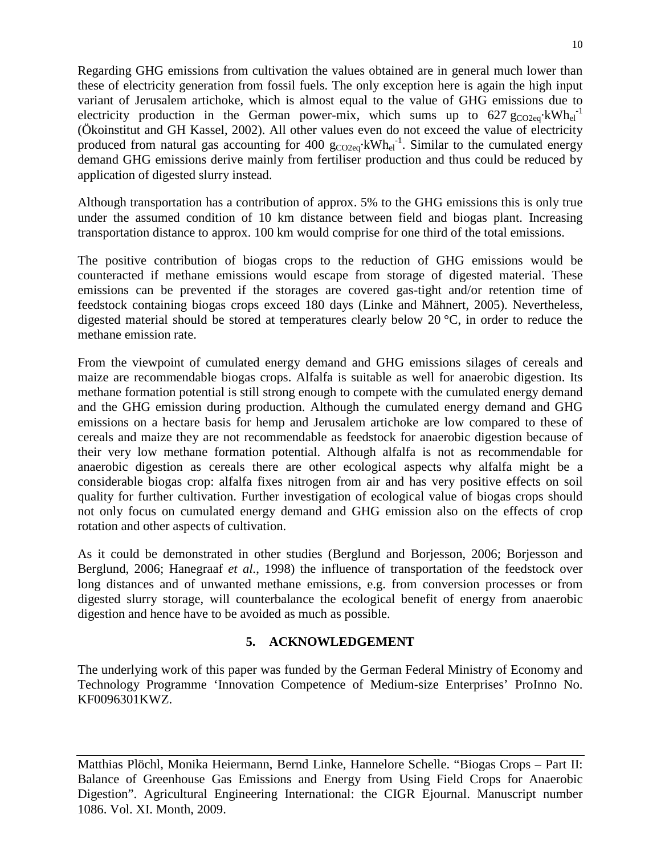Regarding GHG emissions from cultivation the values obtained are in general much lower than these of electricity generation from fossil fuels. The only exception here is again the high input variant of Jerusalem artichoke, which is almost equal to the value of GHG emissions due to electricity production in the German power-mix, which sums up to  $627 \text{ g}_{\text{CO2eq}}$  kWh<sub>el</sub><sup>-1</sup> (Ökoinstitut and GH Kassel, 2002). All other values even do not exceed the value of electricity produced from natural gas accounting for 400  $g_{CO2eq}$ ·kWh<sub>el</sub><sup>-1</sup>. Similar to the cumulated energy demand GHG emissions derive mainly from fertiliser production and thus could be reduced by application of digested slurry instead.

Although transportation has a contribution of approx. 5% to the GHG emissions this is only true under the assumed condition of 10 km distance between field and biogas plant. Increasing transportation distance to approx. 100 km would comprise for one third of the total emissions.

The positive contribution of biogas crops to the reduction of GHG emissions would be counteracted if methane emissions would escape from storage of digested material. These emissions can be prevented if the storages are covered gas-tight and/or retention time of feedstock containing biogas crops exceed 180 days (Linke and Mähnert, 2005). Nevertheless, digested material should be stored at temperatures clearly below 20 °C, in order to reduce the methane emission rate.

From the viewpoint of cumulated energy demand and GHG emissions silages of cereals and maize are recommendable biogas crops. Alfalfa is suitable as well for anaerobic digestion. Its methane formation potential is still strong enough to compete with the cumulated energy demand and the GHG emission during production. Although the cumulated energy demand and GHG emissions on a hectare basis for hemp and Jerusalem artichoke are low compared to these of cereals and maize they are not recommendable as feedstock for anaerobic digestion because of their very low methane formation potential. Although alfalfa is not as recommendable for anaerobic digestion as cereals there are other ecological aspects why alfalfa might be a considerable biogas crop: alfalfa fixes nitrogen from air and has very positive effects on soil quality for further cultivation. Further investigation of ecological value of biogas crops should not only focus on cumulated energy demand and GHG emission also on the effects of crop rotation and other aspects of cultivation.

As it could be demonstrated in other studies (Berglund and Borjesson, 2006; Borjesson and Berglund, 2006; Hanegraaf *et al.*, 1998) the influence of transportation of the feedstock over long distances and of unwanted methane emissions, e.g. from conversion processes or from digested slurry storage, will counterbalance the ecological benefit of energy from anaerobic digestion and hence have to be avoided as much as possible.

## **5. ACKNOWLEDGEMENT**

The underlying work of this paper was funded by the German Federal Ministry of Economy and Technology Programme 'Innovation Competence of Medium-size Enterprises' ProInno No. KF0096301KWZ.